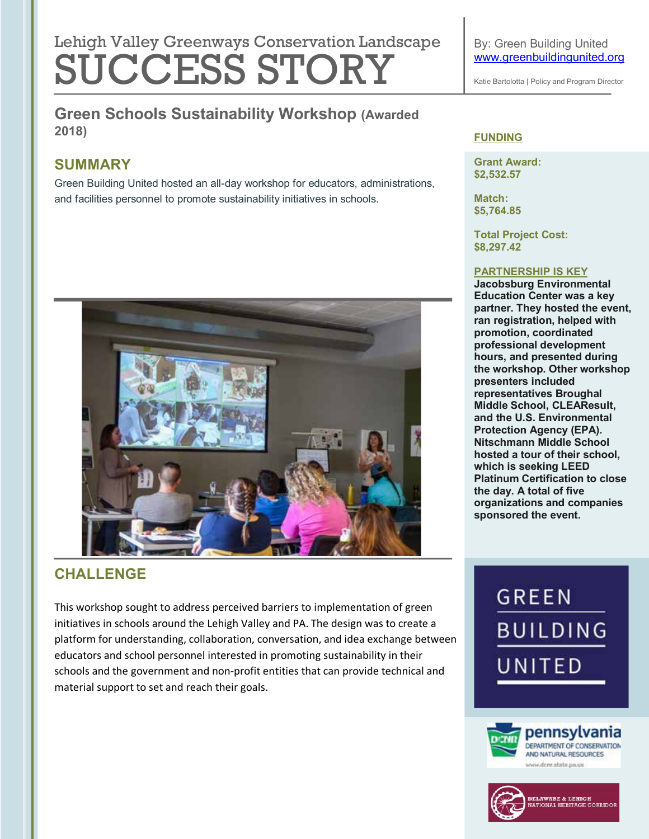## Lehigh Valley Greenways Conservation Landscape SUCCESS STORY

**Green Schools Sustainability Workshop (Awarded 2018)**

## **SUMMARY**

Green Building United hosted an all-day workshop for educators, administrations, and facilities personnel to promote sustainability initiatives in schools.



## **CHALLENGE**

This workshop sought to address perceived barriers to implementation of green initiatives in schools around the Lehigh Valley and PA. The design was to create a platform for understanding, collaboration, conversation, and idea exchange between educators and school personnel interested in promoting sustainability in their schools and the government and non-profit entities that can provide technical and material support to set and reach their goals.

Katie Bartolotta | Policy and Program Director

#### **FUNDING**

**Grant Award: \$2,532.57**

**Match: \$5,764.85**

**Total Project Cost: \$8,297.42**

#### **PARTNERSHIP IS KEY**

**Jacobsburg Environmental Education Center was a key partner. They hosted the event, ran registration, helped with promotion, coordinated professional development hours, and presented during the workshop. Other workshop presenters included representatives Broughal Middle School, CLEAResult, and the U.S. Environmental Protection Agency (EPA). Nitschmann Middle School hosted a tour of their school, which is seeking LEED Platinum Certification to close the day. A total of five organizations and companies sponsored the event.** 

# **GREEN BUILDING** UNITED